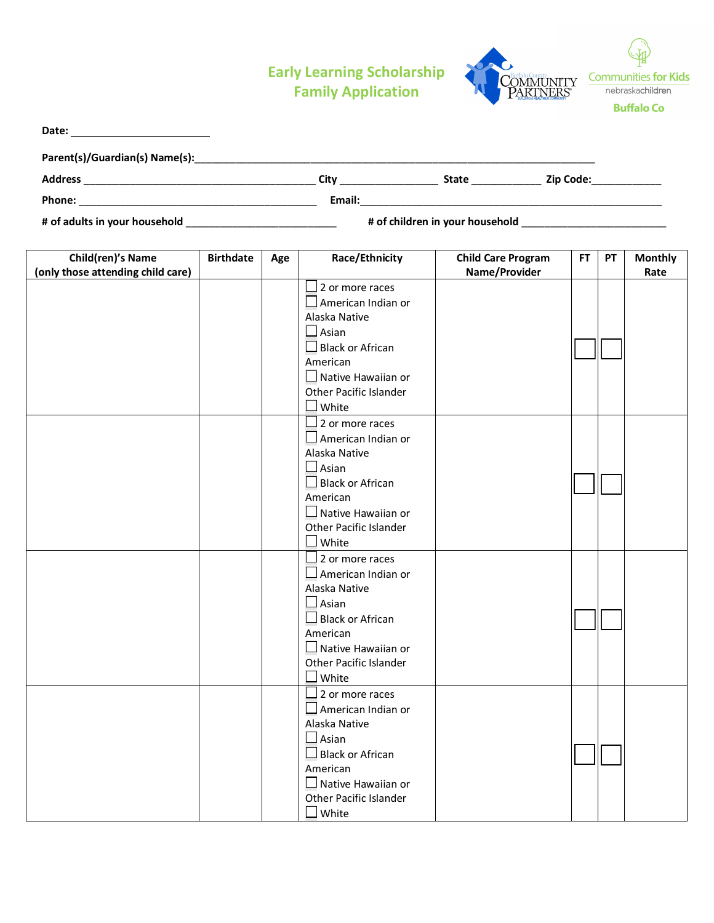## **Early Learning Scholarship Family Application**



| Date:                                                  |                  |     |                                                                                                                                                                                                                                                                                                                                                                                          |                                            |     |           |                        |
|--------------------------------------------------------|------------------|-----|------------------------------------------------------------------------------------------------------------------------------------------------------------------------------------------------------------------------------------------------------------------------------------------------------------------------------------------------------------------------------------------|--------------------------------------------|-----|-----------|------------------------|
|                                                        |                  |     |                                                                                                                                                                                                                                                                                                                                                                                          |                                            |     |           |                        |
|                                                        |                  |     |                                                                                                                                                                                                                                                                                                                                                                                          |                                            |     |           |                        |
|                                                        |                  |     |                                                                                                                                                                                                                                                                                                                                                                                          |                                            |     |           |                        |
|                                                        |                  |     |                                                                                                                                                                                                                                                                                                                                                                                          |                                            |     |           |                        |
| Child(ren)'s Name<br>(only those attending child care) | <b>Birthdate</b> | Age | Race/Ethnicity                                                                                                                                                                                                                                                                                                                                                                           | <b>Child Care Program</b><br>Name/Provider | FT. | <b>PT</b> | <b>Monthly</b><br>Rate |
|                                                        |                  |     | $\Box$ 2 or more races<br>$\Box$ American Indian or<br>Alaska Native<br>$\Box$ Asian<br>$\Box$ Black or African<br>American<br>$\Box$ Native Hawaiian or<br>Other Pacific Islander<br>$\Box$ White<br>$\Box$ 2 or more races<br>$\Box$ American Indian or<br>Alaska Native<br>$\Box$ Asian<br>$\Box$ Black or African<br>American<br>$\Box$ Native Hawaiian or<br>Other Pacific Islander |                                            |     |           |                        |
|                                                        |                  |     | $\square$ White<br>$\Box$ 2 or more races<br>$\Box$ American Indian or<br>Alaska Native<br>$\Box$ Asian<br>$\Box$ Black or African<br>American<br>$\square$ Native Hawaiian or<br>Other Pacific Islander<br>$\Box$ White<br>$\Box$ 2 or more races<br>$\Box$ American Indian or<br>Alaska Native<br>$\Box$ Asian<br>$\Box$ Black or African                                              |                                            |     |           |                        |
|                                                        |                  |     | American<br>$\Box$ Native Hawaiian or<br>Other Pacific Islander<br>$\square$ White                                                                                                                                                                                                                                                                                                       |                                            |     |           |                        |